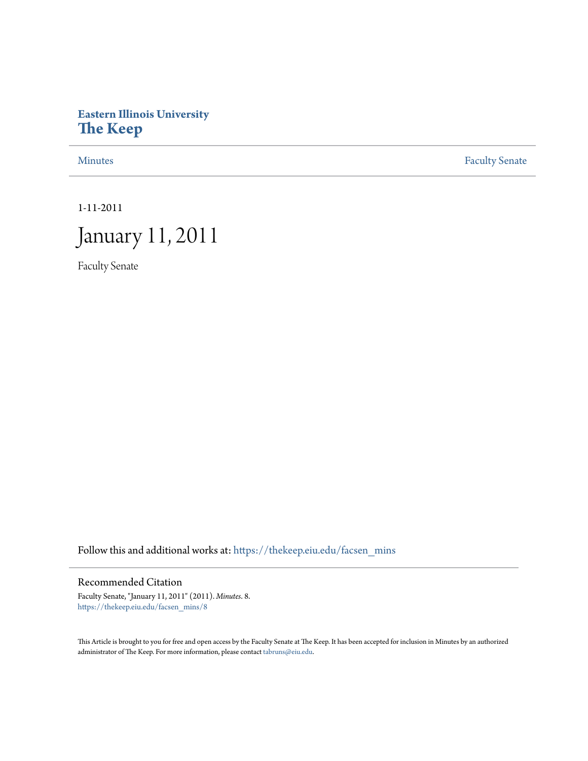# **Eastern Illinois University [The Keep](https://thekeep.eiu.edu?utm_source=thekeep.eiu.edu%2Ffacsen_mins%2F8&utm_medium=PDF&utm_campaign=PDFCoverPages)**

[Minutes](https://thekeep.eiu.edu/facsen_mins?utm_source=thekeep.eiu.edu%2Ffacsen_mins%2F8&utm_medium=PDF&utm_campaign=PDFCoverPages) **[Faculty Senate](https://thekeep.eiu.edu/fac_senate?utm_source=thekeep.eiu.edu%2Ffacsen_mins%2F8&utm_medium=PDF&utm_campaign=PDFCoverPages)** 

1-11-2011

# January 11, 2011

Faculty Senate

Follow this and additional works at: [https://thekeep.eiu.edu/facsen\\_mins](https://thekeep.eiu.edu/facsen_mins?utm_source=thekeep.eiu.edu%2Ffacsen_mins%2F8&utm_medium=PDF&utm_campaign=PDFCoverPages)

## Recommended Citation

Faculty Senate, "January 11, 2011" (2011). *Minutes*. 8. [https://thekeep.eiu.edu/facsen\\_mins/8](https://thekeep.eiu.edu/facsen_mins/8?utm_source=thekeep.eiu.edu%2Ffacsen_mins%2F8&utm_medium=PDF&utm_campaign=PDFCoverPages)

This Article is brought to you for free and open access by the Faculty Senate at The Keep. It has been accepted for inclusion in Minutes by an authorized administrator of The Keep. For more information, please contact [tabruns@eiu.edu.](mailto:tabruns@eiu.edu)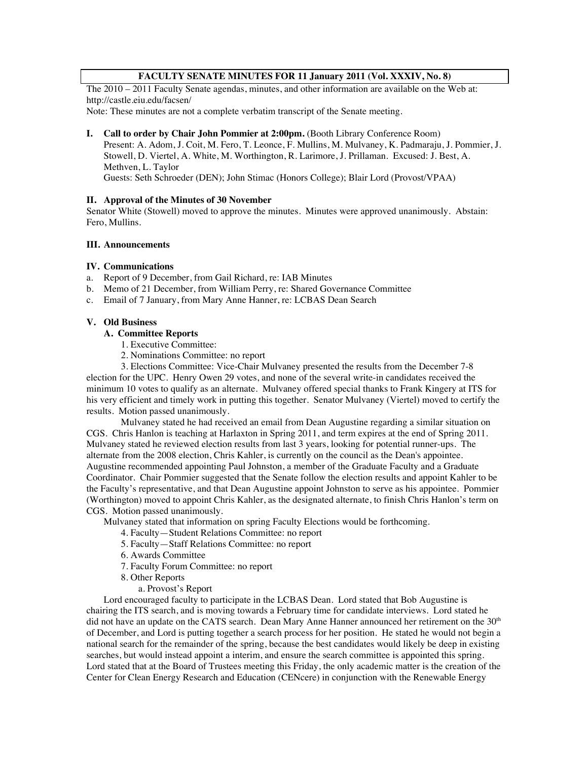#### **FACULTY SENATE MINUTES FOR 11 January 2011 (Vol. XXXIV, No. 8)**

The 2010 – 2011 Faculty Senate agendas, minutes, and other information are available on the Web at: http://castle.eiu.edu/facsen/

Note: These minutes are not a complete verbatim transcript of the Senate meeting.

#### **I. Call to order by Chair John Pommier at 2:00pm.** (Booth Library Conference Room)

Present: A. Adom, J. Coit, M. Fero, T. Leonce, F. Mullins, M. Mulvaney, K. Padmaraju, J. Pommier, J. Stowell, D. Viertel, A. White, M. Worthington, R. Larimore, J. Prillaman. Excused: J. Best, A. Methven, L. Taylor

Guests: Seth Schroeder (DEN); John Stimac (Honors College); Blair Lord (Provost/VPAA)

#### **II. Approval of the Minutes of 30 November**

Senator White (Stowell) moved to approve the minutes. Minutes were approved unanimously. Abstain: Fero, Mullins.

#### **III. Announcements**

#### **IV. Communications**

- a. Report of 9 December, from Gail Richard, re: IAB Minutes
- b. Memo of 21 December, from William Perry, re: Shared Governance Committee
- c. Email of 7 January, from Mary Anne Hanner, re: LCBAS Dean Search

#### **V. Old Business**

# **A. Committee Reports**

- 1. Executive Committee:
- 2. Nominations Committee: no report

3. Elections Committee: Vice-Chair Mulvaney presented the results from the December 7-8 election for the UPC. Henry Owen 29 votes, and none of the several write-in candidates received the minimum 10 votes to qualify as an alternate. Mulvaney offered special thanks to Frank Kingery at ITS for his very efficient and timely work in putting this together. Senator Mulvaney (Viertel) moved to certify the results. Motion passed unanimously.

Mulvaney stated he had received an email from Dean Augustine regarding a similar situation on CGS. Chris Hanlon is teaching at Harlaxton in Spring 2011, and term expires at the end of Spring 2011. Mulvaney stated he reviewed election results from last 3 years, looking for potential runner-ups. The alternate from the 2008 election, Chris Kahler, is currently on the council as the Dean's appointee. Augustine recommended appointing Paul Johnston, a member of the Graduate Faculty and a Graduate Coordinator. Chair Pommier suggested that the Senate follow the election results and appoint Kahler to be the Faculty's representative, and that Dean Augustine appoint Johnston to serve as his appointee. Pommier (Worthington) moved to appoint Chris Kahler, as the designated alternate, to finish Chris Hanlon's term on CGS. Motion passed unanimously.

Mulvaney stated that information on spring Faculty Elections would be forthcoming.

- 4. Faculty—Student Relations Committee: no report
- 5. Faculty—Staff Relations Committee: no report
- 6. Awards Committee
- 7. Faculty Forum Committee: no report
- 8. Other Reports
	- a. Provost's Report

Lord encouraged faculty to participate in the LCBAS Dean. Lord stated that Bob Augustine is chairing the ITS search, and is moving towards a February time for candidate interviews. Lord stated he did not have an update on the CATS search. Dean Mary Anne Hanner announced her retirement on the 30<sup>th</sup> of December, and Lord is putting together a search process for her position. He stated he would not begin a national search for the remainder of the spring, because the best candidates would likely be deep in existing searches, but would instead appoint a interim, and ensure the search committee is appointed this spring. Lord stated that at the Board of Trustees meeting this Friday, the only academic matter is the creation of the Center for Clean Energy Research and Education (CENcere) in conjunction with the Renewable Energy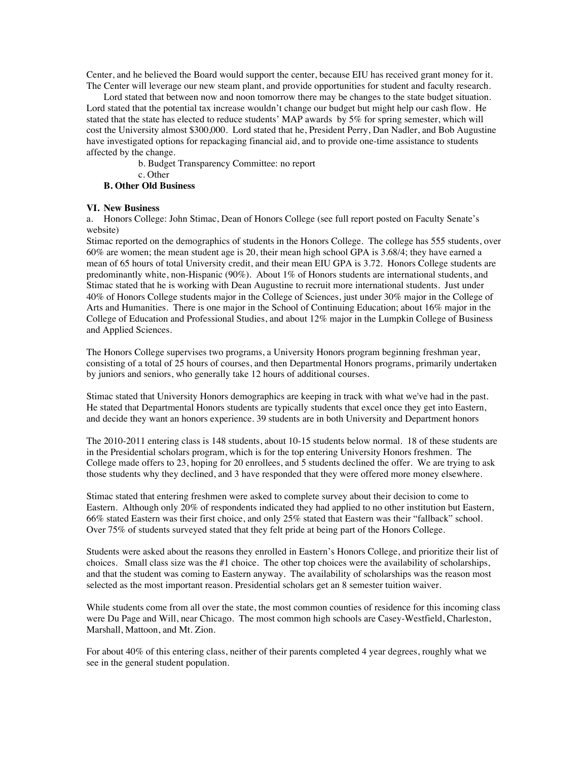Center, and he believed the Board would support the center, because EIU has received grant money for it. The Center will leverage our new steam plant, and provide opportunities for student and faculty research.

Lord stated that between now and noon tomorrow there may be changes to the state budget situation. Lord stated that the potential tax increase wouldn't change our budget but might help our cash flow. He stated that the state has elected to reduce students' MAP awards by 5% for spring semester, which will cost the University almost \$300,000. Lord stated that he, President Perry, Dan Nadler, and Bob Augustine have investigated options for repackaging financial aid, and to provide one-time assistance to students affected by the change.

b. Budget Transparency Committee: no report

c. Other

#### **B. Other Old Business**

#### **VI. New Business**

a. Honors College: John Stimac, Dean of Honors College (see full report posted on Faculty Senate's website)

Stimac reported on the demographics of students in the Honors College. The college has 555 students, over 60% are women; the mean student age is 20, their mean high school GPA is 3.68/4; they have earned a mean of 65 hours of total University credit, and their mean EIU GPA is 3.72. Honors College students are predominantly white, non-Hispanic (90%). About 1% of Honors students are international students, and Stimac stated that he is working with Dean Augustine to recruit more international students. Just under 40% of Honors College students major in the College of Sciences, just under 30% major in the College of Arts and Humanities. There is one major in the School of Continuing Education; about 16% major in the College of Education and Professional Studies, and about 12% major in the Lumpkin College of Business and Applied Sciences.

The Honors College supervises two programs, a University Honors program beginning freshman year, consisting of a total of 25 hours of courses, and then Departmental Honors programs, primarily undertaken by juniors and seniors, who generally take 12 hours of additional courses.

Stimac stated that University Honors demographics are keeping in track with what we've had in the past. He stated that Departmental Honors students are typically students that excel once they get into Eastern, and decide they want an honors experience. 39 students are in both University and Department honors

The 2010-2011 entering class is 148 students, about 10-15 students below normal. 18 of these students are in the Presidential scholars program, which is for the top entering University Honors freshmen. The College made offers to 23, hoping for 20 enrollees, and 5 students declined the offer. We are trying to ask those students why they declined, and 3 have responded that they were offered more money elsewhere.

Stimac stated that entering freshmen were asked to complete survey about their decision to come to Eastern. Although only 20% of respondents indicated they had applied to no other institution but Eastern, 66% stated Eastern was their first choice, and only 25% stated that Eastern was their "fallback" school. Over 75% of students surveyed stated that they felt pride at being part of the Honors College.

Students were asked about the reasons they enrolled in Eastern's Honors College, and prioritize their list of choices. Small class size was the #1 choice. The other top choices were the availability of scholarships, and that the student was coming to Eastern anyway. The availability of scholarships was the reason most selected as the most important reason. Presidential scholars get an 8 semester tuition waiver.

While students come from all over the state, the most common counties of residence for this incoming class were Du Page and Will, near Chicago. The most common high schools are Casey-Westfield, Charleston, Marshall, Mattoon, and Mt. Zion.

For about 40% of this entering class, neither of their parents completed 4 year degrees, roughly what we see in the general student population.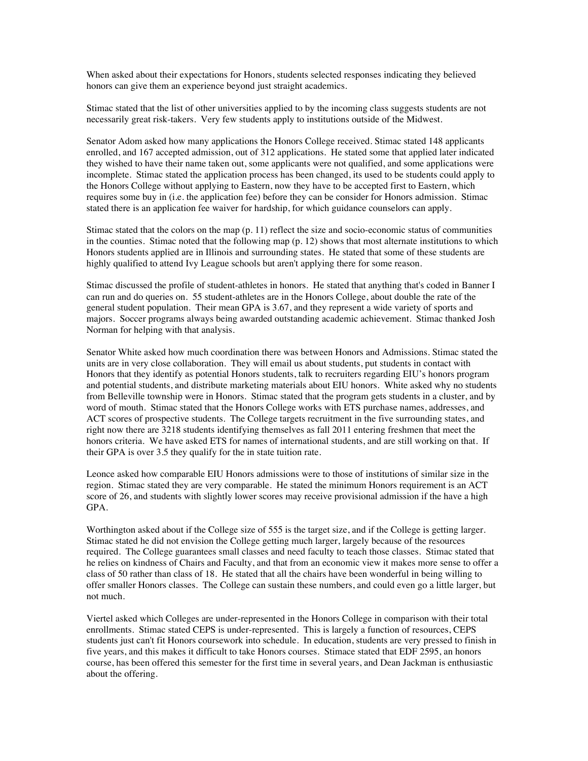When asked about their expectations for Honors, students selected responses indicating they believed honors can give them an experience beyond just straight academics.

Stimac stated that the list of other universities applied to by the incoming class suggests students are not necessarily great risk-takers. Very few students apply to institutions outside of the Midwest.

Senator Adom asked how many applications the Honors College received. Stimac stated 148 applicants enrolled, and 167 accepted admission, out of 312 applications. He stated some that applied later indicated they wished to have their name taken out, some applicants were not qualified, and some applications were incomplete. Stimac stated the application process has been changed, its used to be students could apply to the Honors College without applying to Eastern, now they have to be accepted first to Eastern, which requires some buy in (i.e. the application fee) before they can be consider for Honors admission. Stimac stated there is an application fee waiver for hardship, for which guidance counselors can apply.

Stimac stated that the colors on the map  $(p. 11)$  reflect the size and socio-economic status of communities in the counties. Stimac noted that the following map (p. 12) shows that most alternate institutions to which Honors students applied are in Illinois and surrounding states. He stated that some of these students are highly qualified to attend Ivy League schools but aren't applying there for some reason.

Stimac discussed the profile of student-athletes in honors. He stated that anything that's coded in Banner I can run and do queries on. 55 student-athletes are in the Honors College, about double the rate of the general student population. Their mean GPA is 3.67, and they represent a wide variety of sports and majors. Soccer programs always being awarded outstanding academic achievement. Stimac thanked Josh Norman for helping with that analysis.

Senator White asked how much coordination there was between Honors and Admissions. Stimac stated the units are in very close collaboration. They will email us about students, put students in contact with Honors that they identify as potential Honors students, talk to recruiters regarding EIU's honors program and potential students, and distribute marketing materials about EIU honors. White asked why no students from Belleville township were in Honors. Stimac stated that the program gets students in a cluster, and by word of mouth. Stimac stated that the Honors College works with ETS purchase names, addresses, and ACT scores of prospective students. The College targets recruitment in the five surrounding states, and right now there are 3218 students identifying themselves as fall 2011 entering freshmen that meet the honors criteria. We have asked ETS for names of international students, and are still working on that. If their GPA is over 3.5 they qualify for the in state tuition rate.

Leonce asked how comparable EIU Honors admissions were to those of institutions of similar size in the region. Stimac stated they are very comparable. He stated the minimum Honors requirement is an ACT score of 26, and students with slightly lower scores may receive provisional admission if the have a high GPA.

Worthington asked about if the College size of 555 is the target size, and if the College is getting larger. Stimac stated he did not envision the College getting much larger, largely because of the resources required. The College guarantees small classes and need faculty to teach those classes. Stimac stated that he relies on kindness of Chairs and Faculty, and that from an economic view it makes more sense to offer a class of 50 rather than class of 18. He stated that all the chairs have been wonderful in being willing to offer smaller Honors classes. The College can sustain these numbers, and could even go a little larger, but not much.

Viertel asked which Colleges are under-represented in the Honors College in comparison with their total enrollments. Stimac stated CEPS is under-represented. This is largely a function of resources, CEPS students just can't fit Honors coursework into schedule. In education, students are very pressed to finish in five years, and this makes it difficult to take Honors courses. Stimace stated that EDF 2595, an honors course, has been offered this semester for the first time in several years, and Dean Jackman is enthusiastic about the offering.